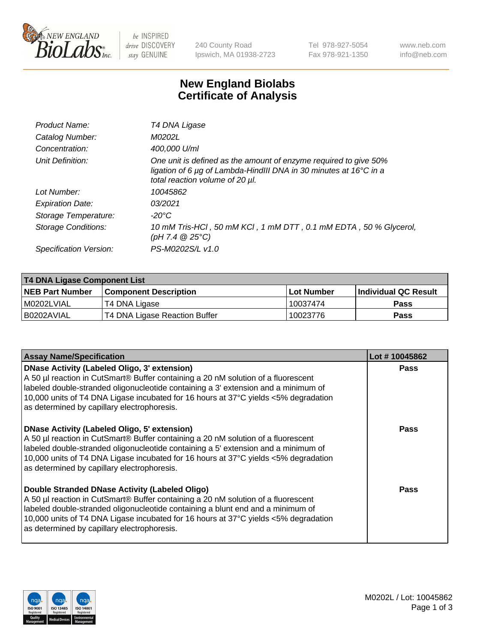

be INSPIRED drive DISCOVERY stay GENUINE

240 County Road Ipswich, MA 01938-2723 Tel 978-927-5054 Fax 978-921-1350 www.neb.com info@neb.com

## **New England Biolabs Certificate of Analysis**

| Product Name:           | T4 DNA Ligase                                                                                                                                                                           |
|-------------------------|-----------------------------------------------------------------------------------------------------------------------------------------------------------------------------------------|
| Catalog Number:         | M0202L                                                                                                                                                                                  |
| Concentration:          | 400,000 U/ml                                                                                                                                                                            |
| Unit Definition:        | One unit is defined as the amount of enzyme required to give 50%<br>ligation of 6 $\mu$ g of Lambda-HindIII DNA in 30 minutes at 16 $\degree$ C in a<br>total reaction volume of 20 µl. |
| Lot Number:             | 10045862                                                                                                                                                                                |
| <b>Expiration Date:</b> | 03/2021                                                                                                                                                                                 |
| Storage Temperature:    | -20°C                                                                                                                                                                                   |
| Storage Conditions:     | 10 mM Tris-HCl, 50 mM KCl, 1 mM DTT, 0.1 mM EDTA, 50 % Glycerol,<br>(pH 7.4 $@25°C$ )                                                                                                   |
| Specification Version:  | PS-M0202S/L v1.0                                                                                                                                                                        |

| T4 DNA Ligase Component List |                               |              |                             |  |  |
|------------------------------|-------------------------------|--------------|-----------------------------|--|--|
| <b>NEB Part Number</b>       | <b>Component Description</b>  | l Lot Number | <b>Individual QC Result</b> |  |  |
| M0202LVIAL                   | T4 DNA Ligase                 | 10037474     | <b>Pass</b>                 |  |  |
| I B0202AVIAL                 | T4 DNA Ligase Reaction Buffer | 10023776     | <b>Pass</b>                 |  |  |

| <b>Assay Name/Specification</b>                                                                                                                                                                                                                                                                                                                               | Lot #10045862 |
|---------------------------------------------------------------------------------------------------------------------------------------------------------------------------------------------------------------------------------------------------------------------------------------------------------------------------------------------------------------|---------------|
| DNase Activity (Labeled Oligo, 3' extension)<br>A 50 µl reaction in CutSmart® Buffer containing a 20 nM solution of a fluorescent<br>labeled double-stranded oligonucleotide containing a 3' extension and a minimum of<br>10,000 units of T4 DNA Ligase incubated for 16 hours at 37°C yields <5% degradation<br>as determined by capillary electrophoresis. | <b>Pass</b>   |
| DNase Activity (Labeled Oligo, 5' extension)<br>A 50 µl reaction in CutSmart® Buffer containing a 20 nM solution of a fluorescent<br>labeled double-stranded oligonucleotide containing a 5' extension and a minimum of<br>10,000 units of T4 DNA Ligase incubated for 16 hours at 37°C yields <5% degradation<br>as determined by capillary electrophoresis. | <b>Pass</b>   |
| Double Stranded DNase Activity (Labeled Oligo)<br>A 50 µl reaction in CutSmart® Buffer containing a 20 nM solution of a fluorescent<br>abeled double-stranded oligonucleotide containing a blunt end and a minimum of<br>10,000 units of T4 DNA Ligase incubated for 16 hours at 37°C yields <5% degradation<br>as determined by capillary electrophoresis.   | Pass          |

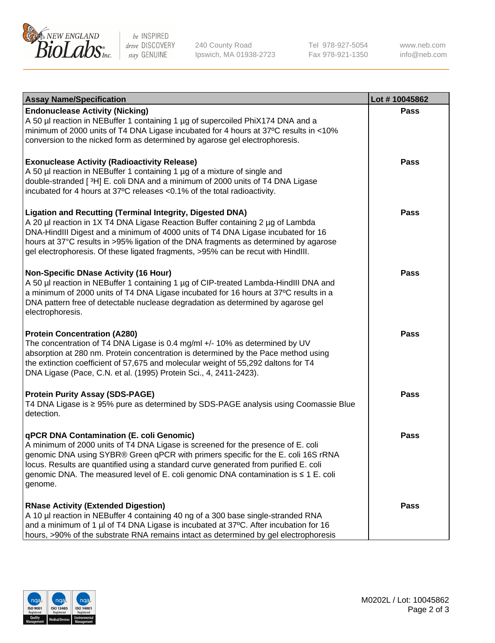

be INSPIRED drive DISCOVERY stay GENUINE

240 County Road Ipswich, MA 01938-2723 Tel 978-927-5054 Fax 978-921-1350

www.neb.com info@neb.com

| <b>Assay Name/Specification</b>                                                                                                                                                                                                                                                                                                                                                                                    | Lot #10045862 |
|--------------------------------------------------------------------------------------------------------------------------------------------------------------------------------------------------------------------------------------------------------------------------------------------------------------------------------------------------------------------------------------------------------------------|---------------|
| <b>Endonuclease Activity (Nicking)</b><br>A 50 µl reaction in NEBuffer 1 containing 1 µg of supercoiled PhiX174 DNA and a<br>minimum of 2000 units of T4 DNA Ligase incubated for 4 hours at 37°C results in <10%<br>conversion to the nicked form as determined by agarose gel electrophoresis.                                                                                                                   | <b>Pass</b>   |
| <b>Exonuclease Activity (Radioactivity Release)</b><br>A 50 µl reaction in NEBuffer 1 containing 1 µg of a mixture of single and<br>double-stranded [3H] E. coli DNA and a minimum of 2000 units of T4 DNA Ligase<br>incubated for 4 hours at 37°C releases <0.1% of the total radioactivity.                                                                                                                      | <b>Pass</b>   |
| <b>Ligation and Recutting (Terminal Integrity, Digested DNA)</b><br>A 20 µl reaction in 1X T4 DNA Ligase Reaction Buffer containing 2 µg of Lambda<br>DNA-HindIII Digest and a minimum of 4000 units of T4 DNA Ligase incubated for 16<br>hours at 37°C results in >95% ligation of the DNA fragments as determined by agarose<br>gel electrophoresis. Of these ligated fragments, >95% can be recut with HindIII. | <b>Pass</b>   |
| <b>Non-Specific DNase Activity (16 Hour)</b><br>A 50 µl reaction in NEBuffer 1 containing 1 µg of CIP-treated Lambda-HindIII DNA and<br>a minimum of 2000 units of T4 DNA Ligase incubated for 16 hours at 37°C results in a<br>DNA pattern free of detectable nuclease degradation as determined by agarose gel<br>electrophoresis.                                                                               | <b>Pass</b>   |
| <b>Protein Concentration (A280)</b><br>The concentration of T4 DNA Ligase is 0.4 mg/ml +/- 10% as determined by UV<br>absorption at 280 nm. Protein concentration is determined by the Pace method using<br>the extinction coefficient of 57,675 and molecular weight of 55,292 daltons for T4<br>DNA Ligase (Pace, C.N. et al. (1995) Protein Sci., 4, 2411-2423).                                                | <b>Pass</b>   |
| <b>Protein Purity Assay (SDS-PAGE)</b><br>T4 DNA Ligase is ≥ 95% pure as determined by SDS-PAGE analysis using Coomassie Blue<br>detection.                                                                                                                                                                                                                                                                        | <b>Pass</b>   |
| qPCR DNA Contamination (E. coli Genomic)<br>A minimum of 2000 units of T4 DNA Ligase is screened for the presence of E. coli<br>genomic DNA using SYBR® Green qPCR with primers specific for the E. coli 16S rRNA<br>locus. Results are quantified using a standard curve generated from purified E. coli<br>genomic DNA. The measured level of E. coli genomic DNA contamination is ≤ 1 E. coli<br>genome.        | Pass          |
| <b>RNase Activity (Extended Digestion)</b><br>A 10 µl reaction in NEBuffer 4 containing 40 ng of a 300 base single-stranded RNA<br>and a minimum of 1 µl of T4 DNA Ligase is incubated at 37°C. After incubation for 16<br>hours, >90% of the substrate RNA remains intact as determined by gel electrophoresis                                                                                                    | <b>Pass</b>   |